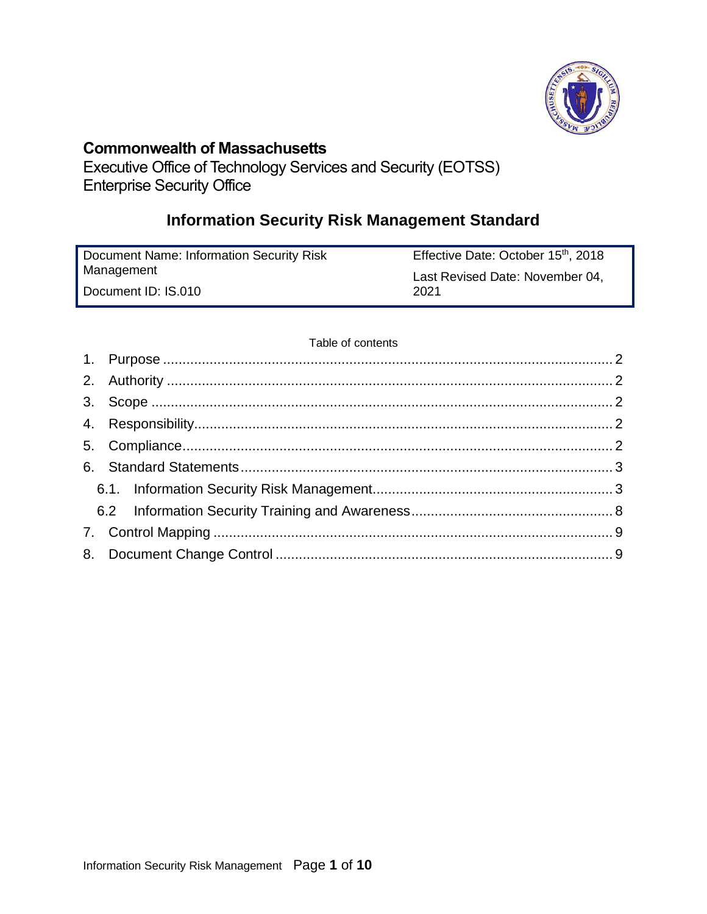

## **Commonwealth of Massachusetts**

Executive Office of Technology Services and Security (EOTSS) Enterprise Security Office

# **Information Security Risk Management Standard**

| Document Name: Information Security Risk | Effective Date: October 15 <sup>th</sup> , 2018 |
|------------------------------------------|-------------------------------------------------|
| Management                               | Last Revised Date: November 04,                 |
| Document ID: IS.010                      | 2021                                            |

#### Table of contents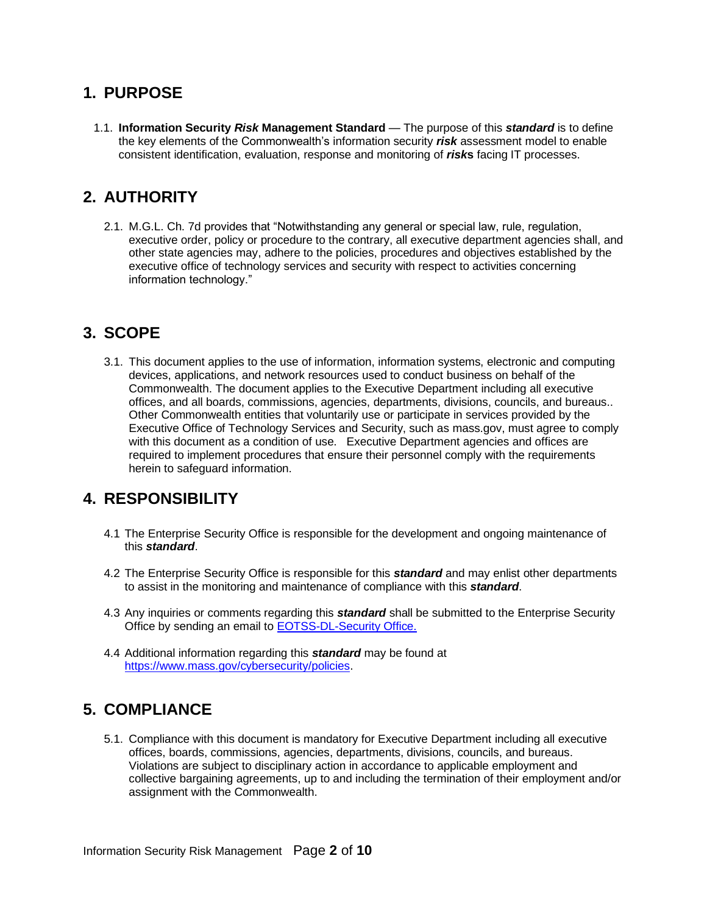### <span id="page-1-0"></span>**1. PURPOSE**

1.1. **Information Security** *Risk* **Management Standard** — The purpose of this *standard* is to define the key elements of the Commonwealth's information security *risk* assessment model to enable consistent identification, evaluation, response and monitoring of *risk***s** facing IT processes.

## <span id="page-1-1"></span>**2. AUTHORITY**

2.1. M.G.L. Ch. 7d provides that "Notwithstanding any general or special law, rule, regulation, executive order, policy or procedure to the contrary, all executive department agencies shall, and other state agencies may, adhere to the policies, procedures and objectives established by the executive office of technology services and security with respect to activities concerning information technology."

## <span id="page-1-2"></span>**3. SCOPE**

3.1. This document applies to the use of information, information systems, electronic and computing devices, applications, and network resources used to conduct business on behalf of the Commonwealth. The document applies to the Executive Department including all executive offices, and all boards, commissions, agencies, departments, divisions, councils, and bureaus.. Other Commonwealth entities that voluntarily use or participate in services provided by the Executive Office of Technology Services and Security, such as mass.gov, must agree to comply with this document as a condition of use. Executive Department agencies and offices are required to implement procedures that ensure their personnel comply with the requirements herein to safeguard information.

## <span id="page-1-3"></span>**4. RESPONSIBILITY**

- 4.1 The Enterprise Security Office is responsible for the development and ongoing maintenance of this *standard*.
- 4.2 The Enterprise Security Office is responsible for this *standard* and may enlist other departments to assist in the monitoring and maintenance of compliance with this *standard*.
- 4.3 Any inquiries or comments regarding this *standard* shall be submitted to the Enterprise Security Office by sending an email t[o EOTSS-DL-Security Office.](mailto:EOTSS-DL-SecurityOfficeManagers)
- 4.4 Additional information regarding this *standard* may be found at [https://www.mass.gov/cybersecurity/policies.](https://www.mass.gov/cybersecurity/policies)

## <span id="page-1-4"></span>**5. COMPLIANCE**

5.1. Compliance with this document is mandatory for Executive Department including all executive offices, boards, commissions, agencies, departments, divisions, councils, and bureaus. Violations are subject to disciplinary action in accordance to applicable employment and collective bargaining agreements, up to and including the termination of their employment and/or assignment with the Commonwealth.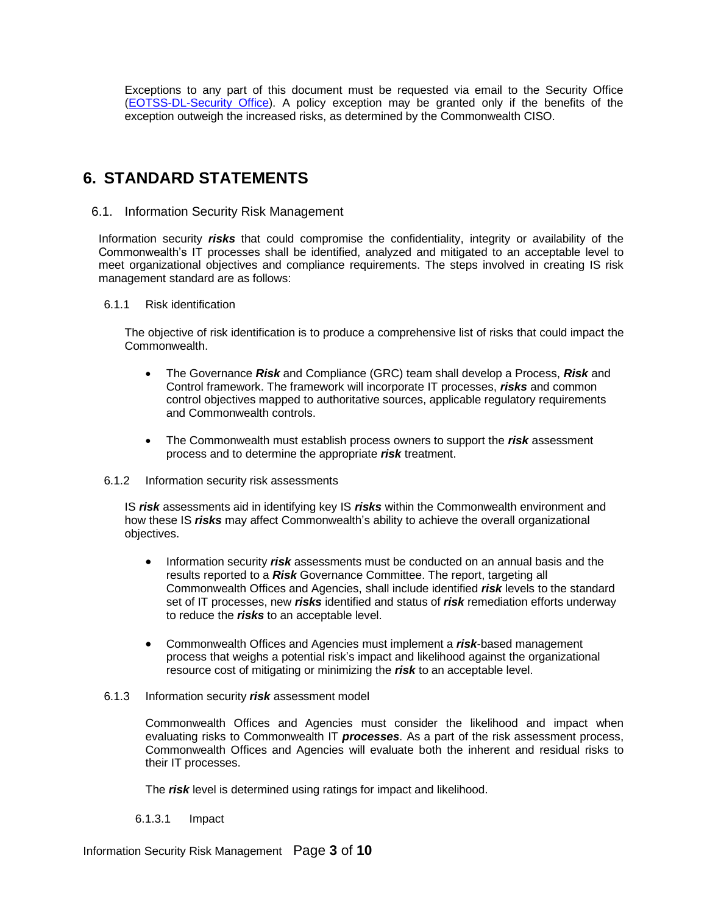Exceptions to any part of this document must be requested via email to the Security Office [\(EOTSS-DL-Security Office\)](mailto:EOTSS-DL-SecurityOfficeManagers). A policy exception may be granted only if the benefits of the exception outweigh the increased risks, as determined by the Commonwealth CISO.

## <span id="page-2-0"></span>**6. STANDARD STATEMENTS**

#### <span id="page-2-1"></span>6.1. Information Security Risk Management

Information security *risks* that could compromise the confidentiality, integrity or availability of the Commonwealth's IT processes shall be identified, analyzed and mitigated to an acceptable level to meet organizational objectives and compliance requirements. The steps involved in creating IS risk management standard are as follows:

#### 6.1.1 Risk identification

The objective of risk identification is to produce a comprehensive list of risks that could impact the Commonwealth.

- The Governance *Risk* and Compliance (GRC) team shall develop a Process, *Risk* and Control framework. The framework will incorporate IT processes, *risks* and common control objectives mapped to authoritative sources, applicable regulatory requirements and Commonwealth controls.
- The Commonwealth must establish process owners to support the *risk* assessment process and to determine the appropriate *risk* treatment.
- 6.1.2 Information security risk assessments

IS *risk* assessments aid in identifying key IS *risks* within the Commonwealth environment and how these IS *risks* may affect Commonwealth's ability to achieve the overall organizational objectives.

- Information security *risk* assessments must be conducted on an annual basis and the results reported to a *Risk* Governance Committee. The report, targeting all Commonwealth Offices and Agencies, shall include identified *risk* levels to the standard set of IT processes, new *risks* identified and status of *risk* remediation efforts underway to reduce the *risks* to an acceptable level.
- Commonwealth Offices and Agencies must implement a *risk*-based management process that weighs a potential risk's impact and likelihood against the organizational resource cost of mitigating or minimizing the *risk* to an acceptable level.
- 6.1.3 Information security *risk* assessment model

Commonwealth Offices and Agencies must consider the likelihood and impact when evaluating risks to Commonwealth IT *processes*. As a part of the risk assessment process, Commonwealth Offices and Agencies will evaluate both the inherent and residual risks to their IT processes.

The *risk* level is determined using ratings for impact and likelihood.

6.1.3.1 Impact

Information Security Risk Management Page **3** of **10**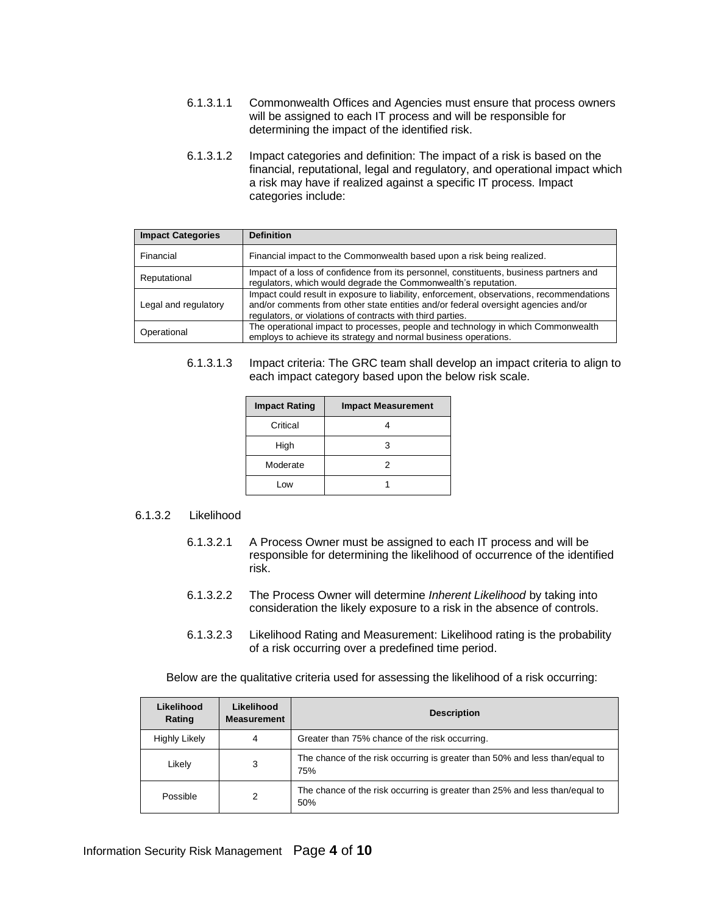- 6.1.3.1.1 Commonwealth Offices and Agencies must ensure that process owners will be assigned to each IT process and will be responsible for determining the impact of the identified risk.
- 6.1.3.1.2 Impact categories and definition: The impact of a risk is based on the financial, reputational, legal and regulatory, and operational impact which a risk may have if realized against a specific IT process. Impact categories include:

| <b>Impact Categories</b> | <b>Definition</b>                                                                                                                                                                                                                            |
|--------------------------|----------------------------------------------------------------------------------------------------------------------------------------------------------------------------------------------------------------------------------------------|
| Financial                | Financial impact to the Commonwealth based upon a risk being realized.                                                                                                                                                                       |
| Reputational             | Impact of a loss of confidence from its personnel, constituents, business partners and<br>regulators, which would degrade the Commonwealth's reputation.                                                                                     |
| Legal and regulatory     | Impact could result in exposure to liability, enforcement, observations, recommendations<br>and/or comments from other state entities and/or federal oversight agencies and/or<br>regulators, or violations of contracts with third parties. |
| Operational              | The operational impact to processes, people and technology in which Commonwealth<br>employs to achieve its strategy and normal business operations.                                                                                          |

6.1.3.1.3 Impact criteria: The GRC team shall develop an impact criteria to align to each impact category based upon the below risk scale.

| <b>Impact Rating</b> | <b>Impact Measurement</b> |
|----------------------|---------------------------|
| Critical             |                           |
| High                 | з                         |
| Moderate             | 2                         |
| Low                  |                           |

#### 6.1.3.2 Likelihood

- 6.1.3.2.1 A Process Owner must be assigned to each IT process and will be responsible for determining the likelihood of occurrence of the identified risk.
- 6.1.3.2.2 The Process Owner will determine *Inherent Likelihood* by taking into consideration the likely exposure to a risk in the absence of controls.
- 6.1.3.2.3 Likelihood Rating and Measurement: Likelihood rating is the probability of a risk occurring over a predefined time period.

Below are the qualitative criteria used for assessing the likelihood of a risk occurring:

| Likelihood<br>Rating | Likelihood<br><b>Measurement</b> | <b>Description</b>                                                                 |
|----------------------|----------------------------------|------------------------------------------------------------------------------------|
| <b>Highly Likely</b> | 4                                | Greater than 75% chance of the risk occurring.                                     |
| Likely               | 3                                | The chance of the risk occurring is greater than 50% and less than/equal to<br>75% |
| Possible             | 2                                | The chance of the risk occurring is greater than 25% and less than/equal to<br>50% |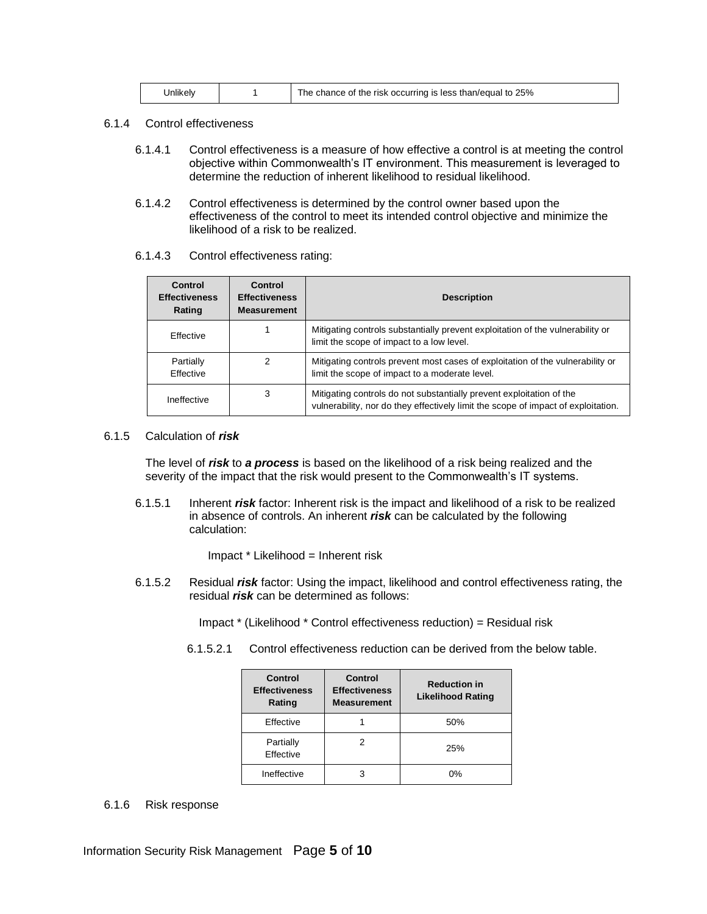| Jnlikelv |  | I the chance of the risk occurring is less than/equal to 25% |
|----------|--|--------------------------------------------------------------|
|----------|--|--------------------------------------------------------------|

- 6.1.4 Control effectiveness
	- 6.1.4.1 Control effectiveness is a measure of how effective a control is at meeting the control objective within Commonwealth's IT environment. This measurement is leveraged to determine the reduction of inherent likelihood to residual likelihood.
	- 6.1.4.2 Control effectiveness is determined by the control owner based upon the effectiveness of the control to meet its intended control objective and minimize the likelihood of a risk to be realized.

#### 6.1.4.3 Control effectiveness rating:

| Control<br><b>Effectiveness</b><br>Rating | Control<br><b>Effectiveness</b><br><b>Measurement</b> | <b>Description</b>                                                                                                                                        |
|-------------------------------------------|-------------------------------------------------------|-----------------------------------------------------------------------------------------------------------------------------------------------------------|
| <b>Fffective</b>                          |                                                       | Mitigating controls substantially prevent exploitation of the vulnerability or<br>limit the scope of impact to a low level.                               |
| Partially<br><b>Fffective</b>             | 2                                                     | Mitigating controls prevent most cases of exploitation of the vulnerability or<br>limit the scope of impact to a moderate level.                          |
| Ineffective                               | 3                                                     | Mitigating controls do not substantially prevent exploitation of the<br>vulnerability, nor do they effectively limit the scope of impact of exploitation. |

#### 6.1.5 Calculation of *risk*

The level of *risk* to *a process* is based on the likelihood of a risk being realized and the severity of the impact that the risk would present to the Commonwealth's IT systems.

6.1.5.1 Inherent *risk* factor: Inherent risk is the impact and likelihood of a risk to be realized in absence of controls. An inherent *risk* can be calculated by the following calculation:

Impact \* Likelihood = Inherent risk

6.1.5.2 Residual *risk* factor: Using the impact, likelihood and control effectiveness rating, the residual *risk* can be determined as follows:

Impact \* (Likelihood \* Control effectiveness reduction) = Residual risk

6.1.5.2.1 Control effectiveness reduction can be derived from the below table.

| Control<br><b>Effectiveness</b><br>Rating | Control<br><b>Effectiveness</b><br><b>Measurement</b> | <b>Reduction in</b><br><b>Likelihood Rating</b> |
|-------------------------------------------|-------------------------------------------------------|-------------------------------------------------|
| Effective                                 |                                                       | 50%                                             |
| Partially<br>Effective                    |                                                       | 25%                                             |
| Ineffective                               |                                                       | $0\%$                                           |

#### 6.1.6 Risk response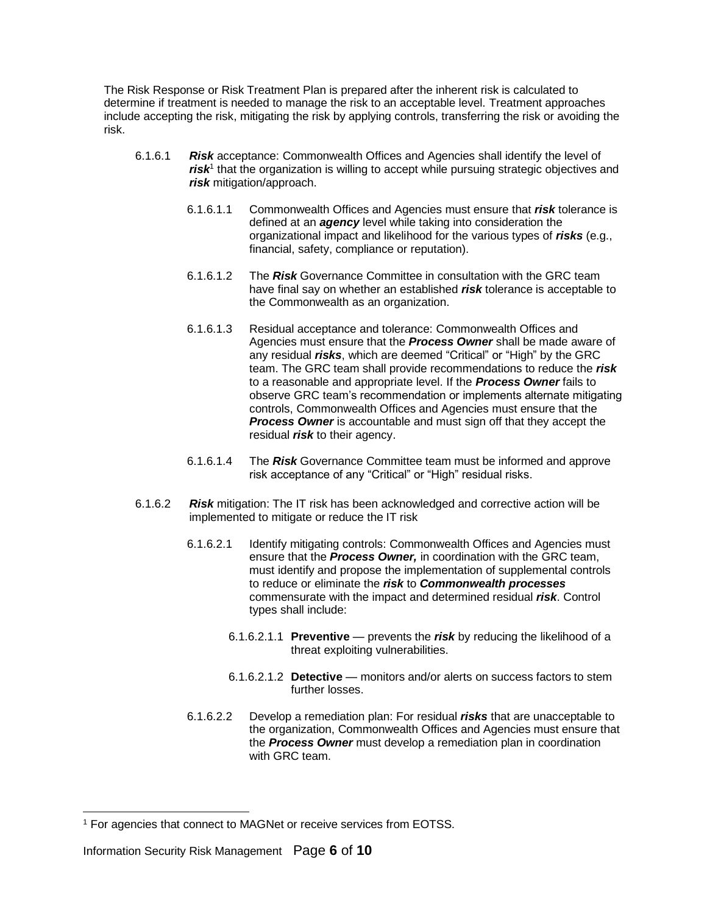The Risk Response or Risk Treatment Plan is prepared after the inherent risk is calculated to determine if treatment is needed to manage the risk to an acceptable level. Treatment approaches include accepting the risk, mitigating the risk by applying controls, transferring the risk or avoiding the risk.

- 6.1.6.1 *Risk* acceptance: Commonwealth Offices and Agencies shall identify the level of risk<sup>1</sup> that the organization is willing to accept while pursuing strategic objectives and *risk* mitigation/approach.
	- 6.1.6.1.1 Commonwealth Offices and Agencies must ensure that *risk* tolerance is defined at an *agency* level while taking into consideration the organizational impact and likelihood for the various types of *risks* (e.g., financial, safety, compliance or reputation).
	- 6.1.6.1.2 The *Risk* Governance Committee in consultation with the GRC team have final say on whether an established *risk* tolerance is acceptable to the Commonwealth as an organization.
	- 6.1.6.1.3 Residual acceptance and tolerance: Commonwealth Offices and Agencies must ensure that the *Process Owner* shall be made aware of any residual *risks*, which are deemed "Critical" or "High" by the GRC team. The GRC team shall provide recommendations to reduce the *risk* to a reasonable and appropriate level. If the *Process Owner* fails to observe GRC team's recommendation or implements alternate mitigating controls, Commonwealth Offices and Agencies must ensure that the *Process Owner* is accountable and must sign off that they accept the residual *risk* to their agency.
	- 6.1.6.1.4 The *Risk* Governance Committee team must be informed and approve risk acceptance of any "Critical" or "High" residual risks.
- 6.1.6.2 *Risk* mitigation: The IT risk has been acknowledged and corrective action will be implemented to mitigate or reduce the IT risk
	- 6.1.6.2.1 Identify mitigating controls: Commonwealth Offices and Agencies must ensure that the *Process Owner,* in coordination with the GRC team, must identify and propose the implementation of supplemental controls to reduce or eliminate the *risk* to *Commonwealth processes* commensurate with the impact and determined residual *risk*. Control types shall include:
		- 6.1.6.2.1.1 **Preventive** prevents the *risk* by reducing the likelihood of a threat exploiting vulnerabilities.
		- 6.1.6.2.1.2 **Detective** monitors and/or alerts on success factors to stem further losses.
	- 6.1.6.2.2 Develop a remediation plan: For residual *risks* that are unacceptable to the organization, Commonwealth Offices and Agencies must ensure that the *Process Owner* must develop a remediation plan in coordination with GRC team.

<sup>&</sup>lt;sup>1</sup> For agencies that connect to MAGNet or receive services from EOTSS.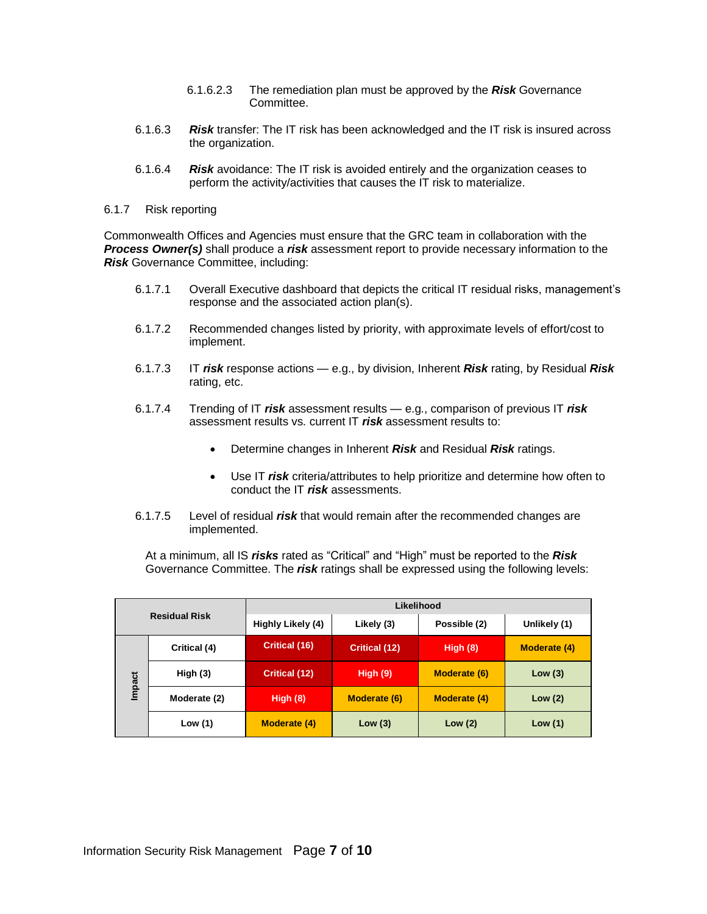- 6.1.6.2.3 The remediation plan must be approved by the *Risk* Governance Committee.
- 6.1.6.3 *Risk* transfer: The IT risk has been acknowledged and the IT risk is insured across the organization.
- 6.1.6.4 *Risk* avoidance: The IT risk is avoided entirely and the organization ceases to perform the activity/activities that causes the IT risk to materialize.
- 6.1.7 Risk reporting

Commonwealth Offices and Agencies must ensure that the GRC team in collaboration with the *Process Owner(s)* shall produce a *risk* assessment report to provide necessary information to the *Risk* Governance Committee, including:

- 6.1.7.1 Overall Executive dashboard that depicts the critical IT residual risks, management's response and the associated action plan(s).
- 6.1.7.2 Recommended changes listed by priority, with approximate levels of effort/cost to implement.
- 6.1.7.3 IT *risk* response actions e.g., by division, Inherent *Risk* rating, by Residual *Risk*  rating, etc.
- 6.1.7.4 Trending of IT *risk* assessment results e.g., comparison of previous IT *risk*  assessment results vs. current IT *risk* assessment results to:
	- Determine changes in Inherent *Risk* and Residual *Risk* ratings.
	- Use IT *risk* criteria/attributes to help prioritize and determine how often to conduct the IT *risk* assessments.
- 6.1.7.5 Level of residual *risk* that would remain after the recommended changes are implemented.

At a minimum, all IS *risks* rated as "Critical" and "High" must be reported to the *Risk* Governance Committee. The *risk* ratings shall be expressed using the following levels:

| <b>Residual Risk</b> |              | Likelihood           |                      |                     |                     |
|----------------------|--------------|----------------------|----------------------|---------------------|---------------------|
|                      |              | Highly Likely (4)    | Likely (3)           | Possible (2)        | Unlikely (1)        |
|                      | Critical (4) | <b>Critical (16)</b> | <b>Critical (12)</b> | High $(8)$          | <b>Moderate (4)</b> |
| Impact               | High $(3)$   | <b>Critical (12)</b> | High $(9)$           | <b>Moderate (6)</b> | Low $(3)$           |
|                      | Moderate (2) | High (8)             | Moderate (6)         | <b>Moderate (4)</b> | Low $(2)$           |
|                      | Low $(1)$    | <b>Moderate (4)</b>  | Low $(3)$            | Low(2)              | Low $(1)$           |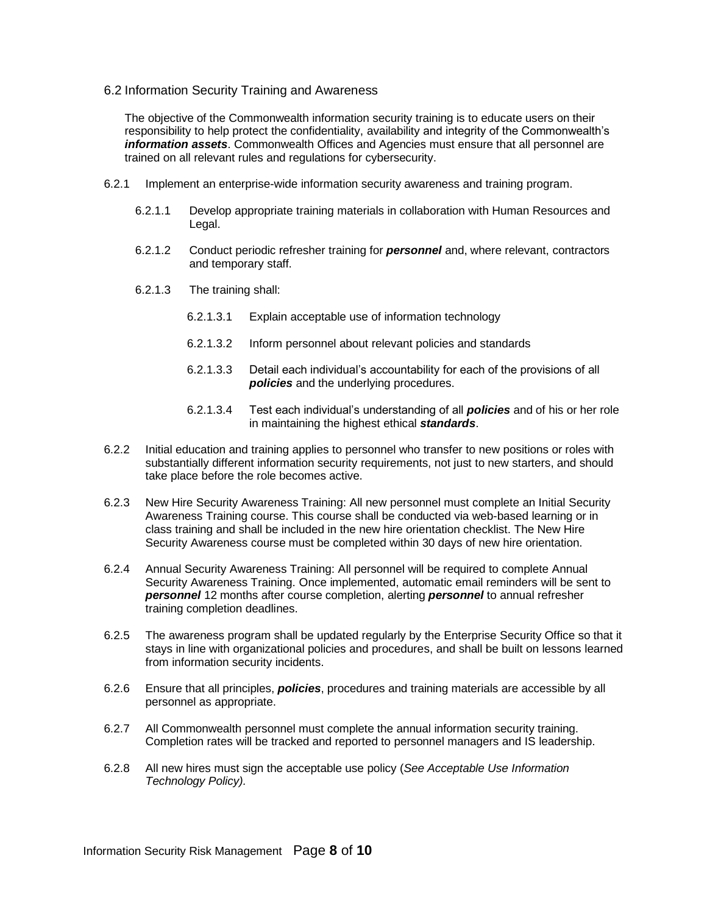<span id="page-7-0"></span>6.2 Information Security Training and Awareness

The objective of the Commonwealth information security training is to educate users on their responsibility to help protect the confidentiality, availability and integrity of the Commonwealth's *information assets*. Commonwealth Offices and Agencies must ensure that all personnel are trained on all relevant rules and regulations for cybersecurity.

- 6.2.1 Implement an enterprise-wide information security awareness and training program.
	- 6.2.1.1 Develop appropriate training materials in collaboration with Human Resources and Legal.
	- 6.2.1.2 Conduct periodic refresher training for *personnel* and, where relevant, contractors and temporary staff.
	- 6.2.1.3 The training shall:
		- 6.2.1.3.1 Explain acceptable use of information technology
		- 6.2.1.3.2 Inform personnel about relevant policies and standards
		- 6.2.1.3.3 Detail each individual's accountability for each of the provisions of all *policies* and the underlying procedures.
		- 6.2.1.3.4 Test each individual's understanding of all *policies* and of his or her role in maintaining the highest ethical *standards*.
- 6.2.2 Initial education and training applies to personnel who transfer to new positions or roles with substantially different information security requirements, not just to new starters, and should take place before the role becomes active.
- 6.2.3 New Hire Security Awareness Training: All new personnel must complete an Initial Security Awareness Training course. This course shall be conducted via web-based learning or in class training and shall be included in the new hire orientation checklist. The New Hire Security Awareness course must be completed within 30 days of new hire orientation.
- 6.2.4 Annual Security Awareness Training: All personnel will be required to complete Annual Security Awareness Training. Once implemented, automatic email reminders will be sent to *personnel* 12 months after course completion, alerting *personnel* to annual refresher training completion deadlines.
- 6.2.5 The awareness program shall be updated regularly by the Enterprise Security Office so that it stays in line with organizational policies and procedures, and shall be built on lessons learned from information security incidents.
- 6.2.6 Ensure that all principles, *policies*, procedures and training materials are accessible by all personnel as appropriate.
- 6.2.7 All Commonwealth personnel must complete the annual information security training. Completion rates will be tracked and reported to personnel managers and IS leadership.
- 6.2.8 All new hires must sign the acceptable use policy (*See Acceptable Use Information Technology Policy).*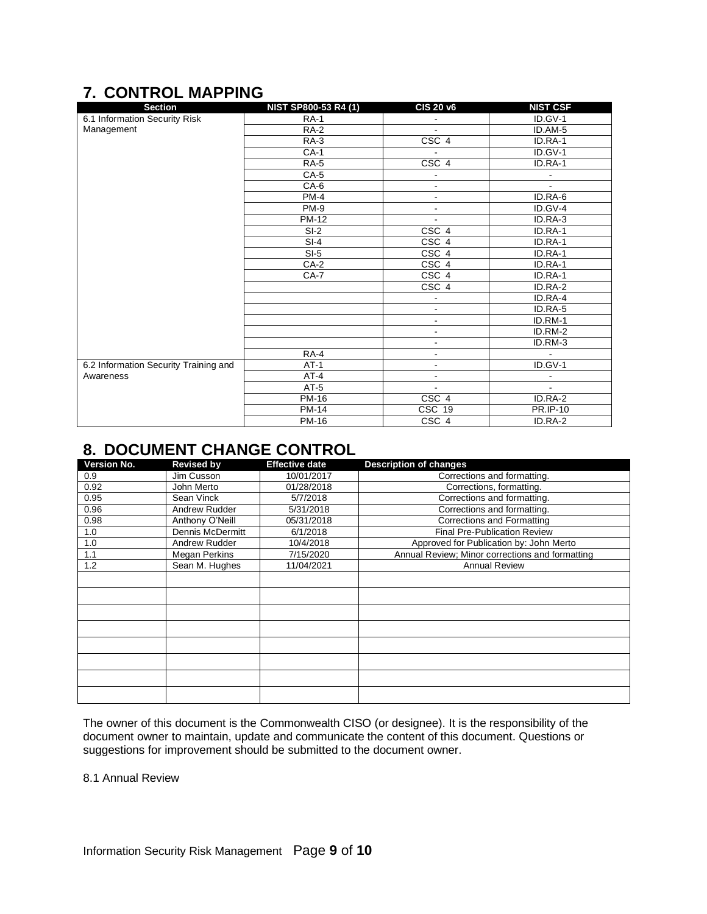# <span id="page-8-0"></span>**7. CONTROL MAPPING**

| <b>Section</b>                        | NIST SP800-53 R4 (1) | <b>CIS 20 v6</b>         | <b>NIST CSF</b>          |
|---------------------------------------|----------------------|--------------------------|--------------------------|
| 6.1 Information Security Risk         | <b>RA-1</b>          |                          | ID.GV-1                  |
| Management                            | <b>RA-2</b>          | $\blacksquare$           | ID.AM-5                  |
|                                       | $RA-3$               | CSC <sub>4</sub>         | ID.RA-1                  |
|                                       | $CA-1$               |                          | ID.GV-1                  |
|                                       | <b>RA-5</b>          | CSC <sub>4</sub>         | ID.RA-1                  |
|                                       | $CA-5$               | $\overline{\phantom{a}}$ | $\overline{\phantom{a}}$ |
|                                       | CA-6                 | $\blacksquare$           | $\blacksquare$           |
|                                       | <b>PM-4</b>          | ۰                        | ID.RA-6                  |
|                                       | <b>PM-9</b>          | ٠                        | ID.GV-4                  |
|                                       | <b>PM-12</b>         |                          | ID.RA-3                  |
|                                       | $SI-2$               | CSC 4                    | ID.RA-1                  |
|                                       | $SI-4$               | CSC 4                    | ID.RA-1                  |
|                                       | $SI-5$               | CSC 4                    | ID.RA-1                  |
|                                       | $CA-2$               | CSC 4                    | ID.RA-1                  |
|                                       | CA-7                 | CSC <sub>4</sub>         | ID.RA-1                  |
|                                       |                      | CSC 4                    | ID.RA-2                  |
|                                       |                      | $\blacksquare$           | ID.RA-4                  |
|                                       |                      | $\blacksquare$           | ID.RA-5                  |
|                                       |                      | $\blacksquare$           | ID.RM-1                  |
|                                       |                      | ۰                        | ID.RM-2                  |
|                                       |                      |                          | ID.RM-3                  |
|                                       | RA-4                 | $\overline{\phantom{a}}$ | $\blacksquare$           |
| 6.2 Information Security Training and | $AT-1$               | $\overline{\phantom{a}}$ | ID.GV-1                  |
| Awareness                             | $AT-4$               | $\blacksquare$           | $\blacksquare$           |
|                                       | $AT-5$               |                          | $\blacksquare$           |
|                                       | PM-16                | CSC 4                    | ID.RA-2                  |
|                                       | <b>PM-14</b>         | CSC 19                   | <b>PR.IP-10</b>          |
|                                       | <b>PM-16</b>         | CSC 4                    | ID.RA-2                  |

## <span id="page-8-1"></span>**8. DOCUMENT CHANGE CONTROL**

| Version No. | <b>Revised by</b>    | <b>Effective date</b> | <b>Description of changes</b>                   |
|-------------|----------------------|-----------------------|-------------------------------------------------|
| 0.9         | Jim Cusson           | 10/01/2017            | Corrections and formatting.                     |
| 0.92        | John Merto           | 01/28/2018            | Corrections, formatting.                        |
| 0.95        | Sean Vinck           | 5/7/2018              | Corrections and formatting.                     |
| 0.96        | Andrew Rudder        | 5/31/2018             | Corrections and formatting.                     |
| 0.98        | Anthony O'Neill      | 05/31/2018            | Corrections and Formatting                      |
| 1.0         | Dennis McDermitt     | 6/1/2018              | <b>Final Pre-Publication Review</b>             |
| 1.0         | Andrew Rudder        | 10/4/2018             | Approved for Publication by: John Merto         |
| 1.1         | <b>Megan Perkins</b> | 7/15/2020             | Annual Review; Minor corrections and formatting |
| 1.2         | Sean M. Hughes       | 11/04/2021            | <b>Annual Review</b>                            |
|             |                      |                       |                                                 |
|             |                      |                       |                                                 |
|             |                      |                       |                                                 |
|             |                      |                       |                                                 |
|             |                      |                       |                                                 |
|             |                      |                       |                                                 |
|             |                      |                       |                                                 |
|             |                      |                       |                                                 |

The owner of this document is the Commonwealth CISO (or designee). It is the responsibility of the document owner to maintain, update and communicate the content of this document. Questions or suggestions for improvement should be submitted to the document owner.

8.1 Annual Review